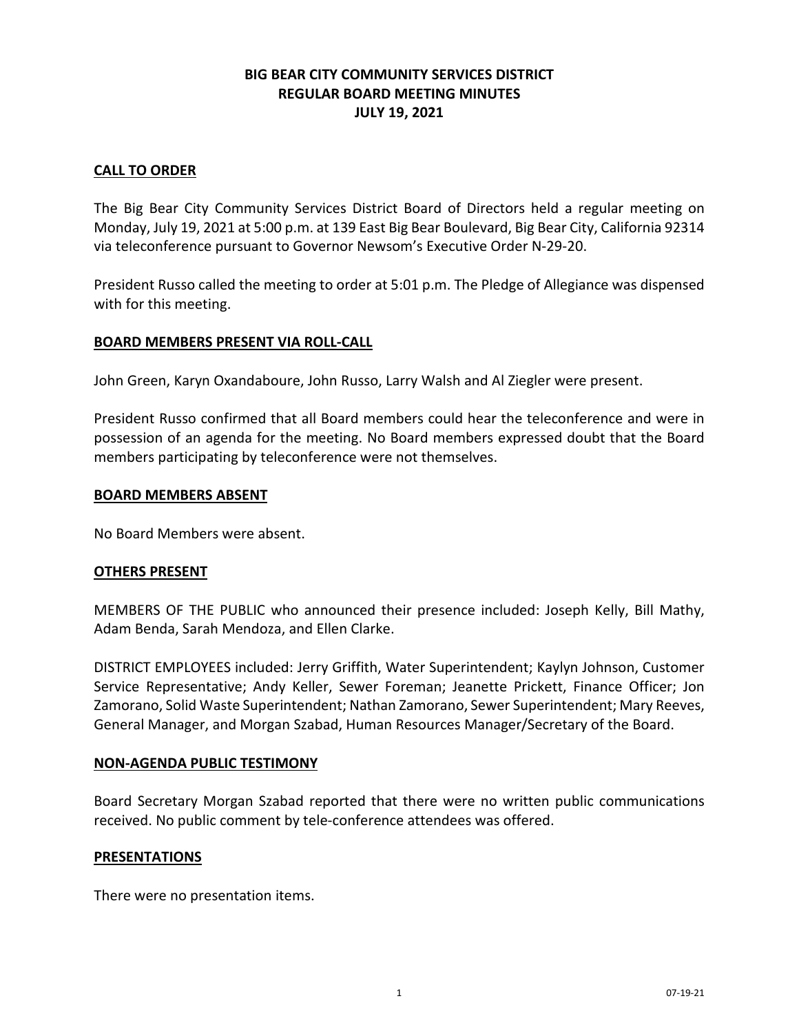# **BIG BEAR CITY COMMUNITY SERVICES DISTRICT REGULAR BOARD MEETING MINUTES JULY 19, 2021**

## **CALL TO ORDER**

The Big Bear City Community Services District Board of Directors held a regular meeting on Monday, July 19, 2021 at 5:00 p.m. at 139 East Big Bear Boulevard, Big Bear City, California 92314 via teleconference pursuant to Governor Newsom's Executive Order N-29-20.

President Russo called the meeting to order at 5:01 p.m. The Pledge of Allegiance was dispensed with for this meeting.

## **BOARD MEMBERS PRESENT VIA ROLL-CALL**

John Green, Karyn Oxandaboure, John Russo, Larry Walsh and Al Ziegler were present.

President Russo confirmed that all Board members could hear the teleconference and were in possession of an agenda for the meeting. No Board members expressed doubt that the Board members participating by teleconference were not themselves.

### **BOARD MEMBERS ABSENT**

No Board Members were absent.

### **OTHERS PRESENT**

MEMBERS OF THE PUBLIC who announced their presence included: Joseph Kelly, Bill Mathy, Adam Benda, Sarah Mendoza, and Ellen Clarke.

DISTRICT EMPLOYEES included: Jerry Griffith, Water Superintendent; Kaylyn Johnson, Customer Service Representative; Andy Keller, Sewer Foreman; Jeanette Prickett, Finance Officer; Jon Zamorano, Solid Waste Superintendent; Nathan Zamorano, Sewer Superintendent; Mary Reeves, General Manager, and Morgan Szabad, Human Resources Manager/Secretary of the Board.

### **NON-AGENDA PUBLIC TESTIMONY**

Board Secretary Morgan Szabad reported that there were no written public communications received. No public comment by tele-conference attendees was offered.

### **PRESENTATIONS**

There were no presentation items.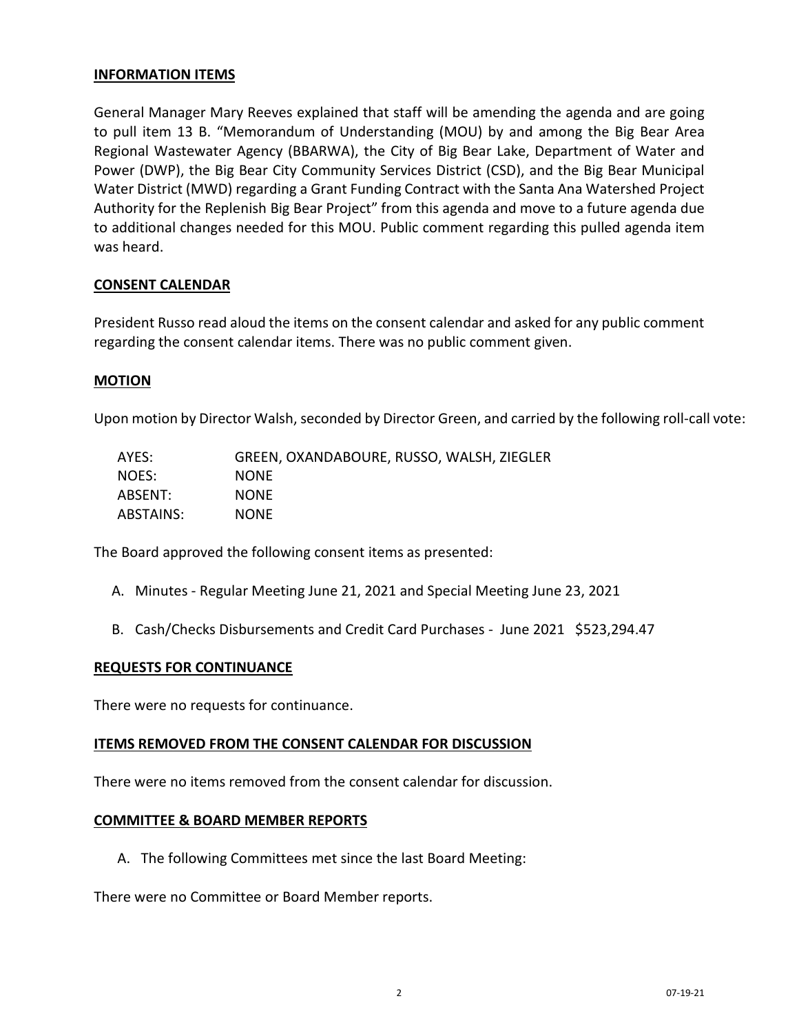## **INFORMATION ITEMS**

General Manager Mary Reeves explained that staff will be amending the agenda and are going to pull item 13 B. "Memorandum of Understanding (MOU) by and among the Big Bear Area Regional Wastewater Agency (BBARWA), the City of Big Bear Lake, Department of Water and Power (DWP), the Big Bear City Community Services District (CSD), and the Big Bear Municipal Water District (MWD) regarding a Grant Funding Contract with the Santa Ana Watershed Project Authority for the Replenish Big Bear Project" from this agenda and move to a future agenda due to additional changes needed for this MOU. Public comment regarding this pulled agenda item was heard.

### **CONSENT CALENDAR**

President Russo read aloud the items on the consent calendar and asked for any public comment regarding the consent calendar items. There was no public comment given.

### **MOTION**

Upon motion by Director Walsh, seconded by Director Green, and carried by the following roll-call vote:

| AYES:     | GREEN, OXANDABOURE, RUSSO, WALSH, ZIEGLER |
|-----------|-------------------------------------------|
| NOES:     | <b>NONE</b>                               |
| ABSENT:   | <b>NONE</b>                               |
| ABSTAINS: | <b>NONE</b>                               |

The Board approved the following consent items as presented:

- A. Minutes Regular Meeting June 21, 2021 and Special Meeting June 23, 2021
- B. Cash/Checks Disbursements and Credit Card Purchases June 2021 \$523,294.47

#### **REQUESTS FOR CONTINUANCE**

There were no requests for continuance.

#### **ITEMS REMOVED FROM THE CONSENT CALENDAR FOR DISCUSSION**

There were no items removed from the consent calendar for discussion.

#### **COMMITTEE & BOARD MEMBER REPORTS**

A. The following Committees met since the last Board Meeting:

There were no Committee or Board Member reports.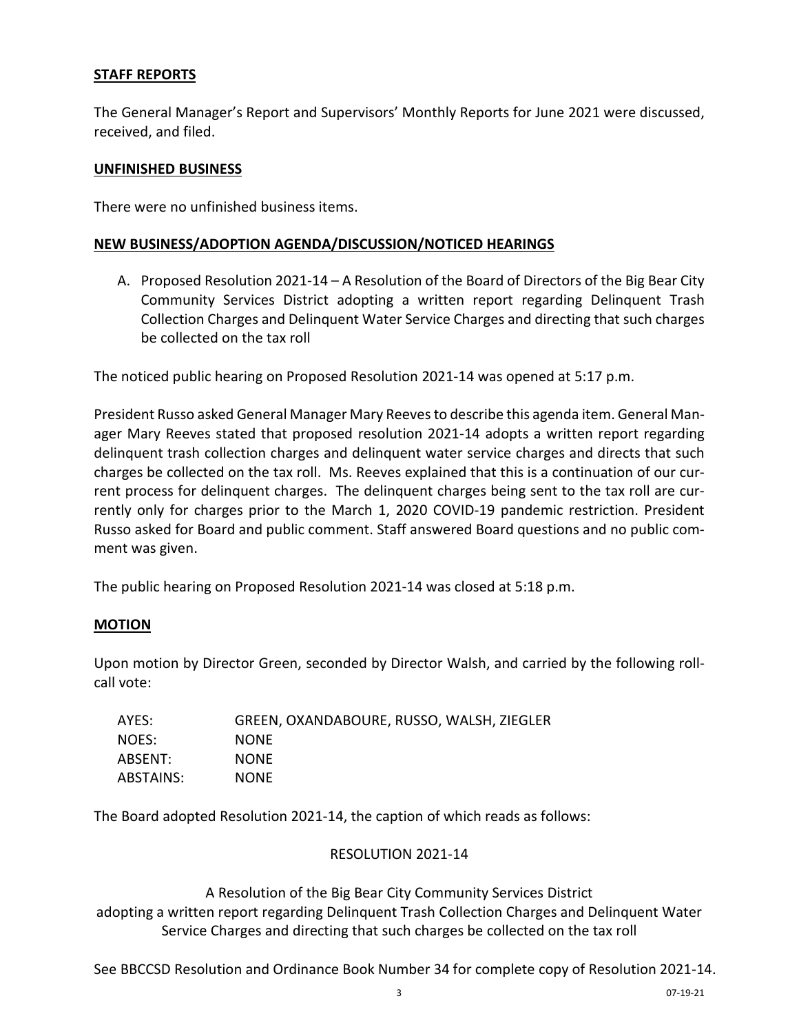# **STAFF REPORTS**

The General Manager's Report and Supervisors' Monthly Reports for June 2021 were discussed, received, and filed.

## **UNFINISHED BUSINESS**

There were no unfinished business items.

## **NEW BUSINESS/ADOPTION AGENDA/DISCUSSION/NOTICED HEARINGS**

A. Proposed Resolution 2021-14 – A Resolution of the Board of Directors of the Big Bear City Community Services District adopting a written report regarding Delinquent Trash Collection Charges and Delinquent Water Service Charges and directing that such charges be collected on the tax roll

The noticed public hearing on Proposed Resolution 2021-14 was opened at 5:17 p.m.

President Russo asked General Manager Mary Reeves to describe this agenda item. General Manager Mary Reeves stated that proposed resolution 2021-14 adopts a written report regarding delinquent trash collection charges and delinquent water service charges and directs that such charges be collected on the tax roll. Ms. Reeves explained that this is a continuation of our current process for delinquent charges. The delinquent charges being sent to the tax roll are currently only for charges prior to the March 1, 2020 COVID-19 pandemic restriction. President Russo asked for Board and public comment. Staff answered Board questions and no public comment was given.

The public hearing on Proposed Resolution 2021-14 was closed at 5:18 p.m.

## **MOTION**

Upon motion by Director Green, seconded by Director Walsh, and carried by the following rollcall vote:

| AYES:     | GREEN, OXANDABOURE, RUSSO, WALSH, ZIEGLER |
|-----------|-------------------------------------------|
| NOES:     | <b>NONE</b>                               |
| ABSENT:   | <b>NONE</b>                               |
| ABSTAINS: | <b>NONE</b>                               |

The Board adopted Resolution 2021-14, the caption of which reads as follows:

### RESOLUTION 2021-14

A Resolution of the Big Bear City Community Services District adopting a written report regarding Delinquent Trash Collection Charges and Delinquent Water Service Charges and directing that such charges be collected on the tax roll

See BBCCSD Resolution and Ordinance Book Number 34 for complete copy of Resolution 2021-14.